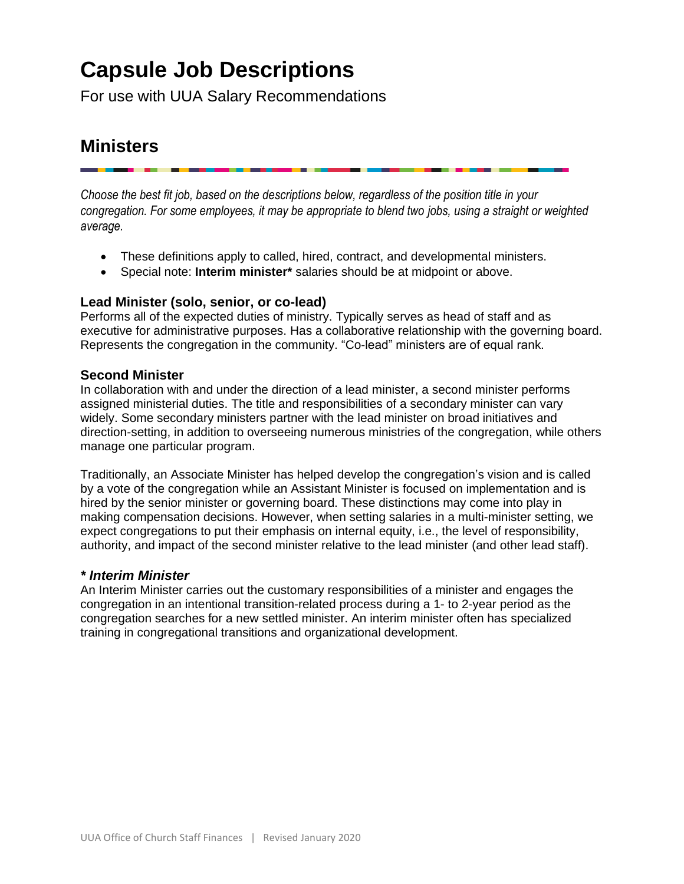# **Capsule Job Descriptions**

For use with UUA Salary Recommendations

# **Ministers**

*Choose the best fit job, based on the descriptions below, regardless of the position title in your congregation. For some employees, it may be appropriate to blend two jobs, using a straight or weighted average.*

- These definitions apply to called, hired, contract, and developmental ministers.
- Special note: **Interim minister\*** salaries should be at midpoint or above.

# **Lead Minister (solo, senior, or co-lead)**

Performs all of the expected duties of ministry. Typically serves as head of staff and as executive for administrative purposes. Has a collaborative relationship with the governing board. Represents the congregation in the community. "Co-lead" ministers are of equal rank.

# **Second Minister**

In collaboration with and under the direction of a lead minister, a second minister performs assigned ministerial duties. The title and responsibilities of a secondary minister can vary widely. Some secondary ministers partner with the lead minister on broad initiatives and direction-setting, in addition to overseeing numerous ministries of the congregation, while others manage one particular program.

Traditionally, an Associate Minister has helped develop the congregation's vision and is called by a vote of the congregation while an Assistant Minister is focused on implementation and is hired by the senior minister or governing board. These distinctions may come into play in making compensation decisions. However, when setting salaries in a multi-minister setting, we expect congregations to put their emphasis on internal equity, i.e., the level of responsibility, authority, and impact of the second minister relative to the lead minister (and other lead staff).

#### *\* Interim Minister*

An Interim Minister carries out the customary responsibilities of a minister and engages the congregation in an intentional transition-related process during a 1- to 2-year period as the congregation searches for a new settled minister. An interim minister often has specialized training in congregational transitions and organizational development.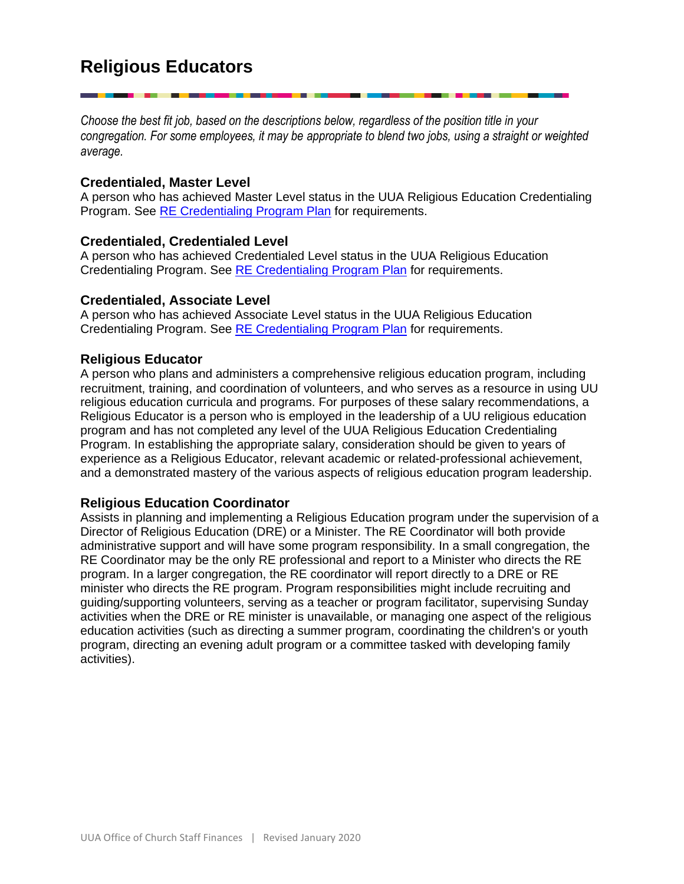*Choose the best fit job, based on the descriptions below, regardless of the position title in your congregation. For some employees, it may be appropriate to blend two jobs, using a straight or weighted average.*

# **Credentialed, Master Level**

A person who has achieved Master Level status in the UUA Religious Education Credentialing Program. See [RE Credentialing Program Plan](https://www.uua.org/sites/live-new.uua.org/files/recp_programplan_jan2019.pdf) for requirements.

# **Credentialed, Credentialed Level**

A person who has achieved Credentialed Level status in the UUA Religious Education Credentialing Program. See [RE Credentialing Program Plan](https://www.uua.org/sites/live-new.uua.org/files/recp_programplan_jan2019.pdf) for requirements.

# **Credentialed, Associate Level**

A person who has achieved Associate Level status in the UUA Religious Education Credentialing Program. See [RE Credentialing Program Plan](https://www.uua.org/sites/live-new.uua.org/files/recp_programplan_jan2019.pdf) for requirements.

# **Religious Educator**

A person who plans and administers a comprehensive religious education program, including recruitment, training, and coordination of volunteers, and who serves as a resource in using UU religious education curricula and programs. For purposes of these salary recommendations, a Religious Educator is a person who is employed in the leadership of a UU religious education program and has not completed any level of the UUA Religious Education Credentialing Program. In establishing the appropriate salary, consideration should be given to years of experience as a Religious Educator, relevant academic or related-professional achievement, and a demonstrated mastery of the various aspects of religious education program leadership.

# **Religious Education Coordinator**

Assists in planning and implementing a Religious Education program under the supervision of a Director of Religious Education (DRE) or a Minister. The RE Coordinator will both provide administrative support and will have some program responsibility. In a small congregation, the RE Coordinator may be the only RE professional and report to a Minister who directs the RE program. In a larger congregation, the RE coordinator will report directly to a DRE or RE minister who directs the RE program. Program responsibilities might include recruiting and guiding/supporting volunteers, serving as a teacher or program facilitator, supervising Sunday activities when the DRE or RE minister is unavailable, or managing one aspect of the religious education activities (such as directing a summer program, coordinating the children's or youth program, directing an evening adult program or a committee tasked with developing family activities).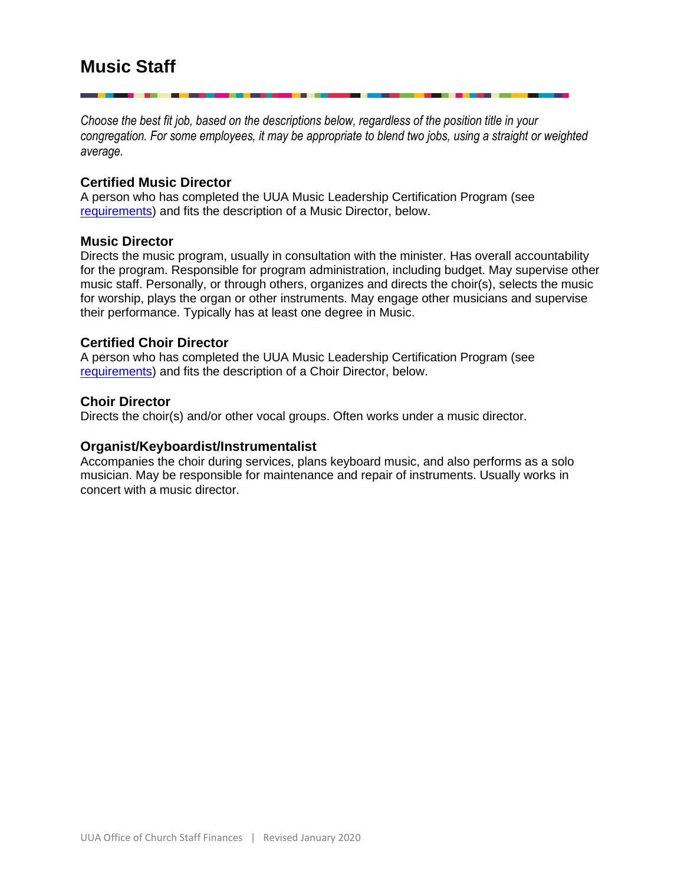*Choose the best fit job, based on the descriptions below, regardless of the position title in your congregation. For some employees, it may be appropriate to blend two jobs, using a straight or weighted average.*

#### **Certified Music Director**

A person who has completed the UUA Music Leadership Certification Program (see [requirements\)](https://www.uua.org/careers/music/certification-requirements) and fits the description of a Music Director, below.

#### **Music Director**

Directs the music program, usually in consultation with the minister. Has overall accountability for the program. Responsible for program administration, including budget. May supervise other music staff. Personally, or through others, organizes and directs the choir(s), selects the music for worship, plays the organ or other instruments. May engage other musicians and supervise their performance. Typically has at least one degree in Music.

#### **Certified Choir Director**

A person who has completed the UUA Music Leadership Certification Program (see [requirements\)](https://www.uua.org/careers/music/certification-requirements) and fits the description of a Choir Director, below.

#### **Choir Director**

Directs the choir(s) and/or other vocal groups. Often works under a music director.

#### **Organist/Keyboardist/Instrumentalist**

Accompanies the choir during services, plans keyboard music, and also performs as a solo musician. May be responsible for maintenance and repair of instruments. Usually works in concert with a music director.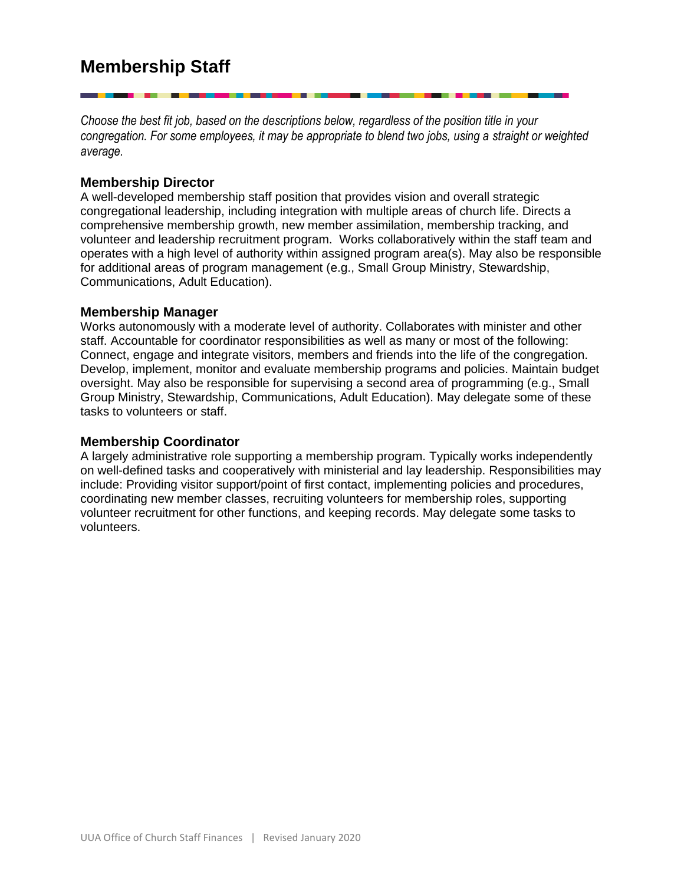*Choose the best fit job, based on the descriptions below, regardless of the position title in your congregation. For some employees, it may be appropriate to blend two jobs, using a straight or weighted average.*

# **Membership Director**

A well-developed membership staff position that provides vision and overall strategic congregational leadership, including integration with multiple areas of church life. Directs a comprehensive membership growth, new member assimilation, membership tracking, and volunteer and leadership recruitment program. Works collaboratively within the staff team and operates with a high level of authority within assigned program area(s). May also be responsible for additional areas of program management (e.g., Small Group Ministry, Stewardship, Communications, Adult Education).

#### **Membership Manager**

Works autonomously with a moderate level of authority. Collaborates with minister and other staff. Accountable for coordinator responsibilities as well as many or most of the following: Connect, engage and integrate visitors, members and friends into the life of the congregation. Develop, implement, monitor and evaluate membership programs and policies. Maintain budget oversight. May also be responsible for supervising a second area of programming (e.g., Small Group Ministry, Stewardship, Communications, Adult Education). May delegate some of these tasks to volunteers or staff.

#### **Membership Coordinator**

A largely administrative role supporting a membership program. Typically works independently on well-defined tasks and cooperatively with ministerial and lay leadership. Responsibilities may include: Providing visitor support/point of first contact, implementing policies and procedures, coordinating new member classes, recruiting volunteers for membership roles, supporting volunteer recruitment for other functions, and keeping records. May delegate some tasks to volunteers.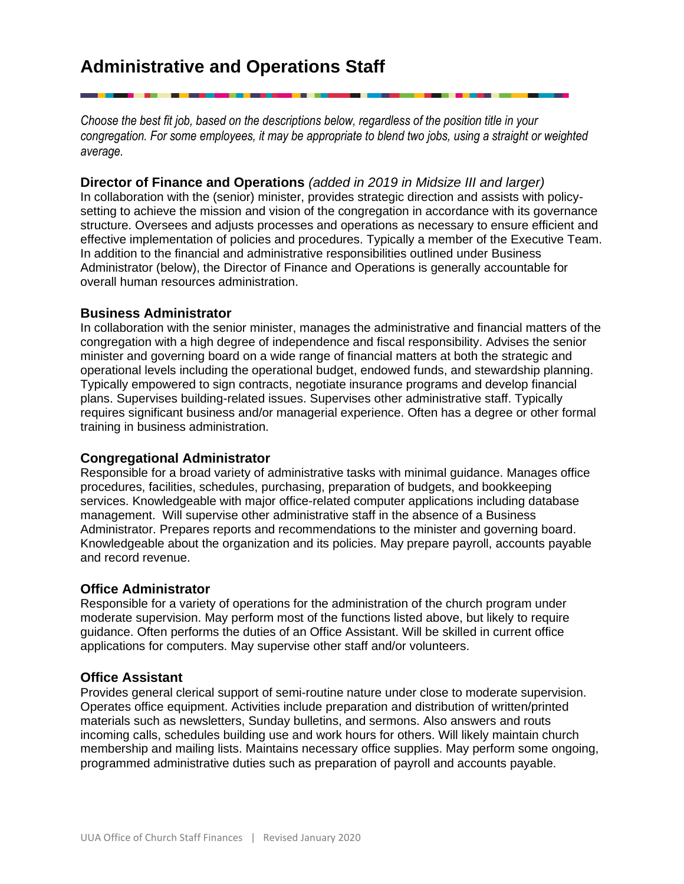# **Administrative and Operations Staff**

*Choose the best fit job, based on the descriptions below, regardless of the position title in your congregation. For some employees, it may be appropriate to blend two jobs, using a straight or weighted average.*

**Director of Finance and Operations** *(added in 2019 in Midsize III and larger)* In collaboration with the (senior) minister, provides strategic direction and assists with policysetting to achieve the mission and vision of the congregation in accordance with its governance structure. Oversees and adjusts processes and operations as necessary to ensure efficient and effective implementation of policies and procedures. Typically a member of the Executive Team.

In addition to the financial and administrative responsibilities outlined under Business Administrator (below), the Director of Finance and Operations is generally accountable for overall human resources administration.

#### **Business Administrator**

In collaboration with the senior minister, manages the administrative and financial matters of the congregation with a high degree of independence and fiscal responsibility. Advises the senior minister and governing board on a wide range of financial matters at both the strategic and operational levels including the operational budget, endowed funds, and stewardship planning. Typically empowered to sign contracts, negotiate insurance programs and develop financial plans. Supervises building-related issues. Supervises other administrative staff. Typically requires significant business and/or managerial experience. Often has a degree or other formal training in business administration.

#### **Congregational Administrator**

Responsible for a broad variety of administrative tasks with minimal guidance. Manages office procedures, facilities, schedules, purchasing, preparation of budgets, and bookkeeping services. Knowledgeable with major office-related computer applications including database management. Will supervise other administrative staff in the absence of a Business Administrator. Prepares reports and recommendations to the minister and governing board. Knowledgeable about the organization and its policies. May prepare payroll, accounts payable and record revenue.

#### **Office Administrator**

Responsible for a variety of operations for the administration of the church program under moderate supervision. May perform most of the functions listed above, but likely to require guidance. Often performs the duties of an Office Assistant. Will be skilled in current office applications for computers. May supervise other staff and/or volunteers.

#### **Office Assistant**

Provides general clerical support of semi-routine nature under close to moderate supervision. Operates office equipment. Activities include preparation and distribution of written/printed materials such as newsletters, Sunday bulletins, and sermons. Also answers and routs incoming calls, schedules building use and work hours for others. Will likely maintain church membership and mailing lists. Maintains necessary office supplies. May perform some ongoing, programmed administrative duties such as preparation of payroll and accounts payable.